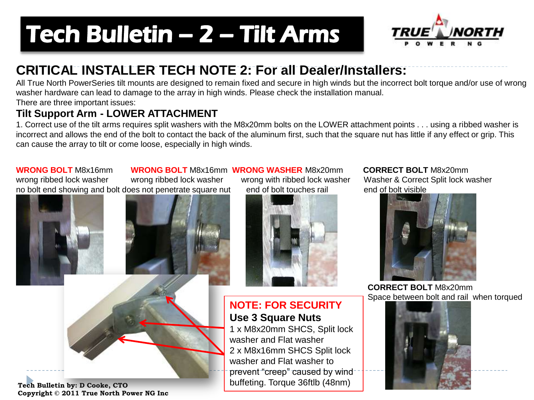# Tech Bulletin - 2 - Tilt Arms



### **CRITICAL INSTALLER TECH NOTE 2: For all Dealer/Installers:**

All True North PowerSeries tilt mounts are designed to remain fixed and secure in high winds but the incorrect bolt torque and/or use of wrong washer hardware can lead to damage to the array in high winds. Please check the installation manual. There are three important issues:

#### **Tilt Support Arm - LOWER ATTACHMENT**

1. Correct use of the tilt arms requires split washers with the M8x20mm bolts on the LOWER attachment points . . . using a ribbed washer is incorrect and allows the end of the bolt to contact the back of the aluminum first, such that the square nut has little if any effect or grip. This can cause the array to tilt or come loose, especially in high winds.

**WRONG BOLT** M8x16mm **WRONG BOLT** M8x16mm **WRONG WASHER** M8x20mm **CORRECT BOLT** M8x20mm wrong ribbed lock washer wrong ribbed lock washer wrong with ribbed lock washer Washer & Correct Split lock washer no bolt end showing and bolt does not penetrate square nut end of bolt touches rail end of bolt visible

**Tech Bulletin by: D Cooke, CTO Copyright © 2011 True North Power NG Inc**



**NOTE: FOR SECURITY Use 3 Square Nuts**

1 x M8x20mm SHCS, Split lock washer and Flat washer 2 x M8x16mm SHCS Split lock washer and Flat washer to prevent "creep" caused by wind buffeting. Torque 36ftlb (48nm)



 **CORRECT BOLT** M8x20mm Space between bolt and rail when torqued

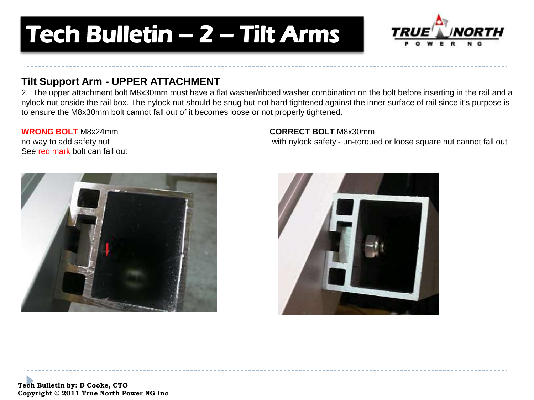# **Tech Bulletin - 2 - Tilt Arms**



#### **Tilt Support Arm - UPPER ATTACHMENT**

2. The upper attachment bolt M8x30mm must have a flat washer/ribbed washer combination on the bolt before inserting in the rail and a nylock nut onside the rail box. The nylock nut should be snug but not hard tightened against the inner surface of rail since it's purpose is to ensure the M8x30mm bolt cannot fall out of it becomes loose or not properly tightened.

## See red mark bolt can fall out



#### **WRONG BOLT** M8x24mm **CORRECT BOLT** M8x30mm

no way to add safety nut with nylock safety - un-torqued or loose square nut cannot fall out



**Tech Bulletin by: D Cooke, CTO Copyright © 2011 True North Power NG Inc**